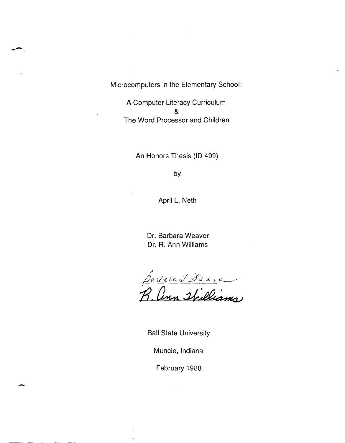Microcomputers in the Elementary School:

--

-

A Computer Literacy Curriculum & The Word Processor and Children

An Honors Thesis (ID 499)

by

April L. Neth

Dr. Barbara Weaver Dr. R. Ann Williams

//1 IJd/ll-~2.~ *J* .dI:d~ *cL* -.-< \_\_\_ ~----- R. Conn Stilliams

Ball State University

Muncie, Indiana

February 1988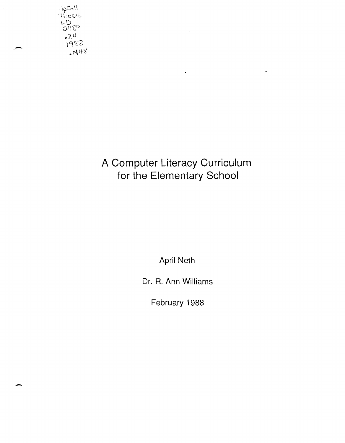$T_1 \in \mathcal{C}$  $\sim$  $972$  $r^{\gamma}$  $\sqrt{98}$  $H_{143}$ 

 $\ddot{\phantom{a}}$ 

-

# **A Computer Literacy Curriculum for the Elementary School**

 $\downarrow$ 

 $\hat{\mathcal{A}}$ 

**April Neth** 

**Dr. R. Ann Williams** 

**February 1988**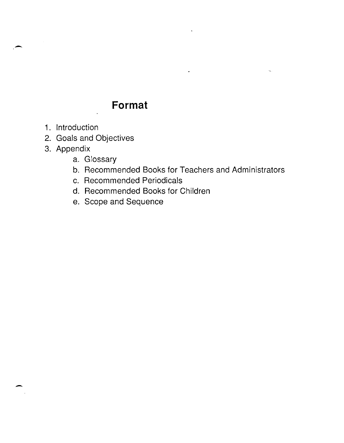# **Format**

1. Introduction

-

-

- 2. Goals and Objectives
- 3. Appendix
	- a. Glossary
	- b. Recommended Books for Teachers and Administrators

 $\ddot{\phantom{a}}$ 

- c. Recommended Periodicals
- d. Recommended Books for Children
- e. Scope and Sequence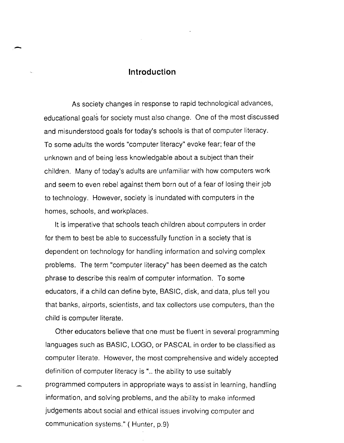#### **Introduction**

-

As society changes in response to rapid technological advances, educational goals for society must also change. One of the most discussed and misunderstood goals for today's schools is that of computer literacy. To some adults the words "computer literacy" evoke fear; fear of the unknown and of being less knowledgable about a subject than their children. Many of today's adults are unfamiliar with how computers work and seem to even rebel against them born out of a fear of losing their job to technology. However, society is inundated with computers in the homes, schools, and workplaces.

It is imperative that schools teach children about computers in order for them to best be able to successfully function in a society that is dependent on technology for handling information and solving complex problems. The term "computer literacy" has been deemed as the catch phrase to describe this realm of computer information. To some educators, if a child can define byte, BASIC, disk, and data, plus tell you that banks, airports, scientists, and tax collectors use computers, than the child is computer literate.

Other educators believe that one must be fluent in several programming languages such as BASIC, LOGO, or PASCAL in order to be classified as computer literate. However, the most comprehensive and widely accepted definition of computer literacy is "... the ability to use suitably programmed computers in appropriate ways to assist in learning, handling information, and solving problems, and the ability to make informed judgements about social and ethical issues involving computer and communication systems." ( Hunter, p.9)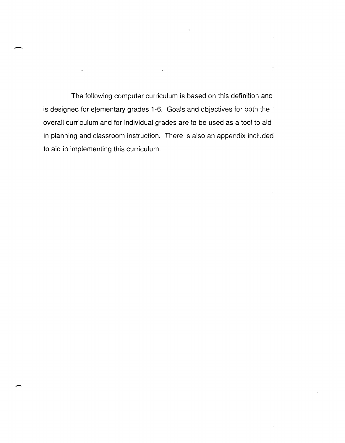The following computer curriculum is based on this definition and is designed for elementary grades 1-6. Goals and objectives for both the overall curriculum and for individual grades are to be used as a tool to aid in planning and classroom instruction. There is also an appendix included to aid in implementing this curriculum.

 $\ddotsc$ 

-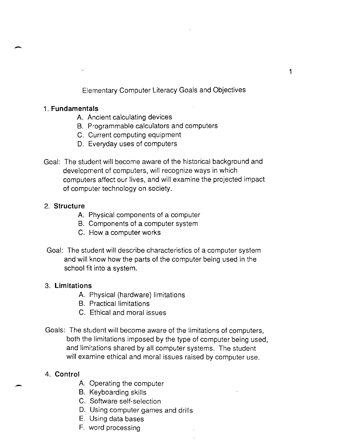Elementary Computer Literacy Goals and Objectives

#### 1. **Fundamentals**

.-

- A. Ancient calculating devices
- B. Programmable calculators and computers
- C. Current computing equipment
- D. Everyday uses of computers
- Goal: The student will become aware of the historical background and development of computers, will recognize ways in which computers affect our lives, and will examine the projected impact of computer technology on society.

#### 2. **Structure**

- A. Physical components of a computer
- B. Components of a computer system
- C. How a computer works
- Goal: The student will describe characteristics of a computer system and will know how the parts of the computer being used in the school fit into a system.

#### 3. **Limitations**

- A. Physical (hardware) limitations
- B. Practical limitations
- C. Ethical and moral issues
- Goals: The student will become aware of the limitations of computers, both the limitations imposed by the type of computer being used, and limitations shared by all computer systems. The student will examine ethical and moral issues raised by computer use.

#### 4. **Control**

.-

- A. Operating the computer
- B. Keyboarding skills
- C. Software self-selection
- D. Using computer games and drills
- E. Using data bases
- F. word processing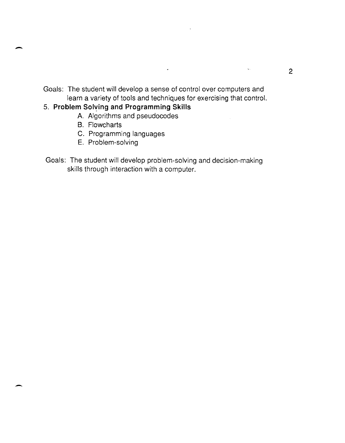Goals: The student will develop a sense of control over computers and learn a variety of tools and techniques for exercising that control.

 $\hat{\mathbf{r}}$ 

#### 5. **Problem Sol'{ing and Programming Skills**

- A. Algorithms and pseudocodes
- B. Flowcharts

 $\overline{\phantom{0}}$ 

- C. Programming languages
- E. Problem-solving
- Goals: The student will develop problem-solving and decision-making skills through interaction with a computer.

 $\sim 100$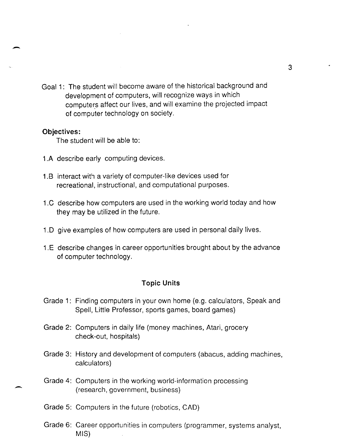Goal 1: The student will become aware of the historical background and development of computers, will recognize ways in which computers affect our lives, and will examine the projected impact of computer technology on society.

#### **Objectives:**

-

-

The student will be able to:

- 1.A describe early computing devices.
- 1.B interact with a variety of computer-like devices used for recreational, instructional, and computational purposes.
- 1.C describe how computers are used in the working world today and how they may be utilized in the future.
- 1.0 give examples of how computers are used in personal daily lives.
- 1.E describe changes in career opportunities brought about by the advance of computer technology.

#### **Topic Units**

- Grade 1: Finding computers in your own home (e.g. calculators, Speak and Spell, Little Professor, sports games, board games)
- Grade 2: Computers in daily life (money machines, Atari, grocery check-out, hospitals)
- Grade 3: History and development of computers (abacus, adding machines, calculators)
- Grade 4: Computers in the working world-information processing (research, government, business)
- Grade 5: Computers in the future (robotics, CAD)
- Grade 6: Career opportunities in computers (programmer, systems analyst, MIS)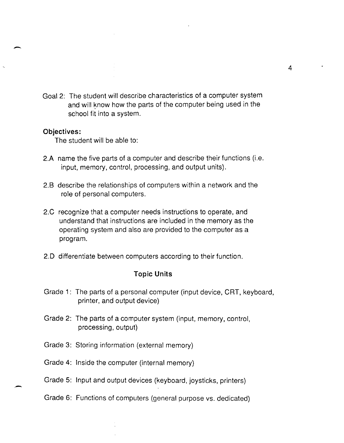Goal 2: The student will describe characteristics of a computer system and will know how the parts of the computer being used in the school fit into a system.

#### **Objectives:**

 $\overline{\phantom{a}}$ 

-

The student will be able to:

- 2.A name the five parts of a computer and describe their functions (i.e. input, memory, control, processing, and output units).
- 2.8 describe the relationships of computers within a network and the role of personal computers.
- 2.C recognize that a computer needs instructions to operate, and understand that instructions are included in the memory as the operating system and also are provided to the computer as a program.
- 2.0 differentiate between computers according to their function.

#### **Topic Units**

- Grade 1: The parts of a personal computer (input device, CRT, keyboard, printer, and output device)
- Grade 2: The parts of a computer system (input, memory, control, processing, output)
- Grade 3: Storing information (external memory)
- Grade 4: Inside the computer (internal memory)
- Grade 5: Input and output devices (keyboard, joysticks, printers)
- Grade 6: Functions of computers (general purpose vs. dedicated)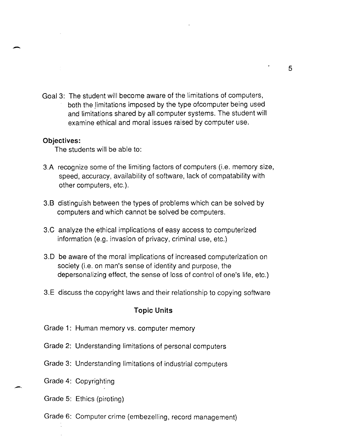Goal 3: The student will become aware of the limitations of computers, both the limitations imposed by the type ofcomputer being used and limitations shared by all computer systems. The student will examine ethical and moral issues raised by computer use.

#### **Objectives:**

-

The students will be able to:

- 3.A recognize some of the limiting factors of computers (i.e. memory size, speed, accuracy, availability of software, lack of compatability with other computers, etc.).
- 3.B distinguish between the types of problems which can be solved by computers and which cannot be solved be computers.
- 3.C analyze the ethical implications of easy access to computerized information (e.g. invasion of privacy, criminal use, etc.)
- 3.0 be aware of the moral implications of increased computerization on society (i.e. on man's sense of identity and purpose, the depersonalizing effect, the sense of loss of control of one's life, etc.)
- 3.E discuss the copyright laws and their relationship to copying software

#### **Topic Units**

- Grade 1: Human memory vs. computer memory
- Grade 2: Understanding limitations of personal computers
- Grade 3: Understanding limitations of industrial computers
- Grade 4: Copyrighting

- Grade 5: Ethics (piroting)
- Grade 6: Computer crime (embezelling, record management)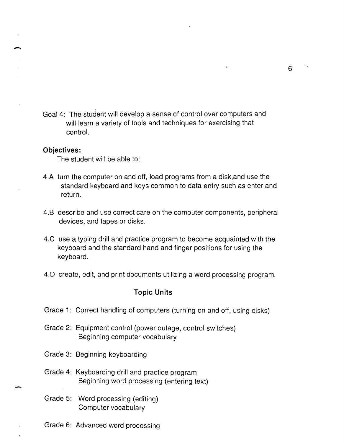Goal 4: The student will develop a sense of control over computers and will learn a variety of tools and techniques for exercising that control.

#### **Objectives:**

-

-

The student will be able to:

- 4.A turn the computer on and off, load programs from a disk,and use the standard keyboard and keys common to data entry such as enter and return.
- 4.B describe and use correct care on the computer components, peripheral devices, and tapes or disks.
- 4.C use a typirg drill and practice program to become acquainted with the keyboard and the standard hand and finger positions for using the keyboard.
- 4.0 create, edit, and print documents utilizing a word processing program.

#### **Topic Units**

- Grade 1: Correct handling of computers (turning on and off, using disks)
- Grade 2: Equipment control (power outage, control switches) Beginning computer vocabulary
- Grade 3: Beginning keyboarding
- Grade 4: Keyboarding drill and practice program Beginning word processing (entering text)
- Grade 5: Word processing (editing) Computer vocabulary
- Grade 6: Advanced word processing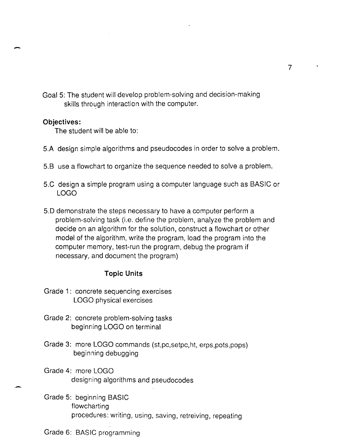Goal 5: The student will develop problem-solving and decision-making skills through interaction with the computer.

#### **Objectives:**

-

-

The student will be able to:

- 5.A design simple algorithms and pseudocodes in order to solve a problem.
- 5.B use a flowchart to organize the sequence needed to solve a problem.
- 5.C design a simple program using a computer language such as BASIC or LOGO
- 5.0 demonstrate the steps necessary to have a computer perform a problem-solving task (i.e. define the problem, analyze the problem and decide on an algorithm for the solution, construct a flowchart or other model of the algorithm, write the program, load the program into the computer memory, test-run the program, debug the program if necessary, and document the program)

#### **Topic Units**

Grade 1: concrete sequencing exercises LOGO physical exercises

- Grade 2: concrete problem-solving tasks beginning LOGO on terminal
- Grade 3: more LOGO commands (st,pc,setpc,ht, erps,pots,pops) beginning debugging
- Grade 4: more LOGO designing algorithms and pseudocodes
- Grade 5: beginning BASIC flowcharting procedures: writing, using, saving, retreiving, repeating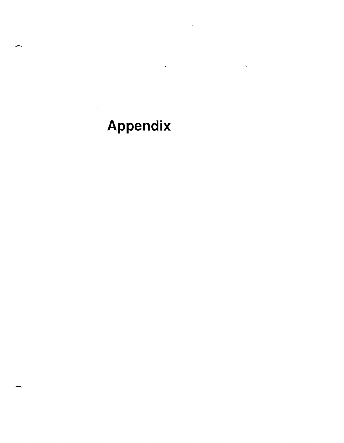# Appendix

 $\overline{a}$ 

 $\bar{\alpha}$ 

.-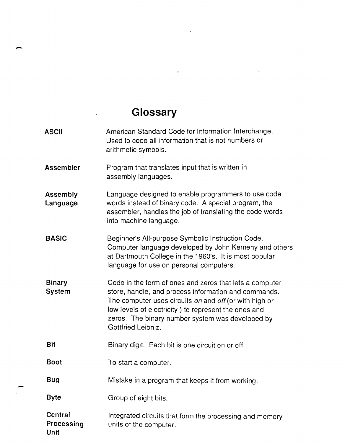# **Glossary**

 $\overline{a}$ 

 $\overline{a}$ 

 $\hat{\mathcal{A}}$ 

-

| <b>ASCII</b>                         | American Standard Code for Information Interchange.<br>Used to code all information that is not numbers or<br>arithmetic symbols.                                                                                                                                                                           |  |
|--------------------------------------|-------------------------------------------------------------------------------------------------------------------------------------------------------------------------------------------------------------------------------------------------------------------------------------------------------------|--|
| <b>Assembler</b>                     | Program that translates input that is written in<br>assembly languages.                                                                                                                                                                                                                                     |  |
| Assembly<br>Language                 | Language designed to enable programmers to use code<br>words instead of binary code. A special program, the<br>assembler, handles the job of translating the code words<br>into machine language.                                                                                                           |  |
| <b>BASIC</b>                         | Beginner's All-purpose Symbolic Instruction Code.<br>Computer language developed by John Kemeny and others<br>at Dartmouth College in the 1960's. It is most popular<br>language for use on personal computers.                                                                                             |  |
| <b>Binary</b><br>System              | Code in the form of ones and zeros that lets a computer<br>store, handle, and process information and commands.<br>The computer uses circuits on and off (or with high or<br>low levels of electricity) to represent the ones and<br>zeros. The binary number system was developed by<br>Gottfried Leibniz. |  |
| <b>Bit</b>                           | Binary digit. Each bit is one circuit on or off.                                                                                                                                                                                                                                                            |  |
| <b>Boot</b>                          | To start a computer.                                                                                                                                                                                                                                                                                        |  |
| Bug                                  | Mistake in a program that keeps it from working.                                                                                                                                                                                                                                                            |  |
| <b>Byte</b>                          | Group of eight bits.                                                                                                                                                                                                                                                                                        |  |
| Central<br>Processing<br><b>Unit</b> | Integrated circuits that form the processing and memory<br>units of the computer.                                                                                                                                                                                                                           |  |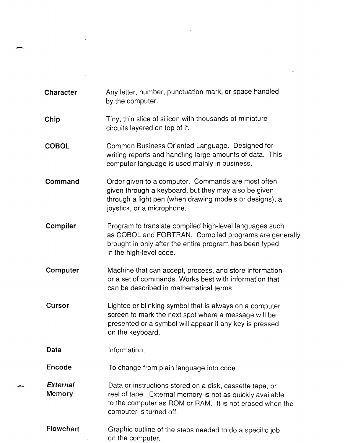| <b>Character</b>   | Any letter, number, punctuation mark, or space handled<br>by the computer.                                                                                                                                   |
|--------------------|--------------------------------------------------------------------------------------------------------------------------------------------------------------------------------------------------------------|
| Chip               | Tiny, thin slice of silicon with thousands of miniature<br>circuits layered on top of it.                                                                                                                    |
| <b>COBOL</b>       | Common Business Oriented Language. Designed for<br>writing reports and handling large amounts of data. This<br>computer language is used mainly in business.                                                 |
| Command            | Order given to a computer. Commands are most often<br>given through a keyboard, but they may also be given<br>through a light pen (when drawing models or designs), a<br>joystick, or a microphone.          |
| Compiler           | Program to translate compiled high-level languages such<br>as COBOL and FORTRAN. Compiled programs are generally<br>brought in only after the entire program has been typed<br>in the high-level code.       |
| Computer           | Machine that can accept, process, and store information<br>or a set of commands. Works best with information that<br>can be described in mathematical terms.                                                 |
| Cursor             | Lighted or blinking symbol that is always on a computer<br>screen to mark the next spot where a message will be<br>presented or a symbol will appear if any key is pressed<br>on the keyboard.               |
| Data               | Information.                                                                                                                                                                                                 |
| Encode             | To change from plain language into code.                                                                                                                                                                     |
| External<br>Memory | Data or instructions stored on a disk, cassette tape, or<br>reel of tape. External memory is not as quickly available<br>to the computer as ROM or RAM. It is not erased when the<br>computer is turned off. |
| Flowchart          | Graphic outline of the steps needed to do a specific job<br>on tha aamputar                                                                                                                                  |

 $\label{eq:2.1} \frac{1}{\sqrt{2}}\left(\frac{1}{\sqrt{2}}\right)^{2} \left(\frac{1}{\sqrt{2}}\right)^{2} \left(\frac{1}{\sqrt{2}}\right)^{2} \left(\frac{1}{\sqrt{2}}\right)^{2} \left(\frac{1}{\sqrt{2}}\right)^{2} \left(\frac{1}{\sqrt{2}}\right)^{2} \left(\frac{1}{\sqrt{2}}\right)^{2} \left(\frac{1}{\sqrt{2}}\right)^{2} \left(\frac{1}{\sqrt{2}}\right)^{2} \left(\frac{1}{\sqrt{2}}\right)^{2} \left(\frac{1}{\sqrt{2}}\right)^{2} \left(\$ 

 $\mathcal{L}(\mathcal{L}^{\text{max}})$  and  $\mathcal{L}(\mathcal{L}^{\text{max}})$ 

on the computer.

-

 $\label{eq:2.1} \frac{1}{\sqrt{2}}\int_{\mathbb{R}^3}\frac{1}{\sqrt{2}}\left(\frac{1}{\sqrt{2}}\right)^2\frac{1}{\sqrt{2}}\left(\frac{1}{\sqrt{2}}\right)^2\frac{1}{\sqrt{2}}\left(\frac{1}{\sqrt{2}}\right)^2\frac{1}{\sqrt{2}}\left(\frac{1}{\sqrt{2}}\right)^2\frac{1}{\sqrt{2}}\left(\frac{1}{\sqrt{2}}\right)^2\frac{1}{\sqrt{2}}\frac{1}{\sqrt{2}}\frac{1}{\sqrt{2}}\frac{1}{\sqrt{2}}\frac{1}{\sqrt{2}}\frac{1}{\sqrt{2}}$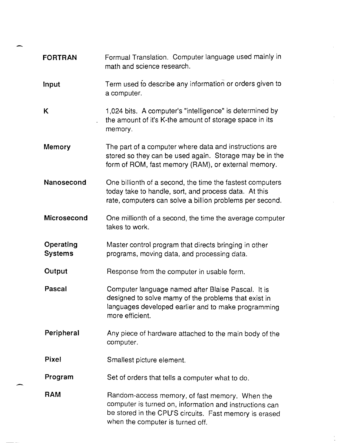| <b>FORTRAN</b>              | Formual Translation. Computer language used mainly in<br>math and science research.                                                                                                                     |  |
|-----------------------------|---------------------------------------------------------------------------------------------------------------------------------------------------------------------------------------------------------|--|
| Input                       | Term used to describe any information or orders given to<br>a computer.                                                                                                                                 |  |
| Κ                           | 1,024 bits. A computer's "intelligence" is determined by<br>the amount of it's K-the amount of storage space in its<br>memory.                                                                          |  |
| <b>Memory</b>               | The part of a computer where data and instructions are<br>stored so they can be used again. Storage may be in the<br>form of ROM, fast memory (RAM), or external memory.                                |  |
| Nanosecond                  | One billionth of a second, the time the fastest computers<br>today take to handle, sort, and process data. At this<br>rate, computers can solve a billion problems per second.                          |  |
| Microsecond                 | One millionth of a second, the time the average computer<br>takes to work.                                                                                                                              |  |
| Operating<br><b>Systems</b> | Master control program that directs bringing in other<br>programs, moving data, and processing data.                                                                                                    |  |
| Output                      | Response from the computer in usable form.                                                                                                                                                              |  |
| <b>Pascal</b>               | Computer language named after Blaise Pascal. It is<br>designed to solve mamy of the problems that exist in<br>languages developed earlier and to make programming<br>more efficient.                    |  |
| Peripheral                  | Any piece of hardware attached to the main body of the<br>computer.                                                                                                                                     |  |
| <b>Pixel</b>                | Smallest picture element.                                                                                                                                                                               |  |
| Program                     | Set of orders that tells a computer what to do.                                                                                                                                                         |  |
| <b>RAM</b>                  | Random-access memory, of fast memory. When the<br>computer is turned on, information and instructions can<br>be stored in the CPU'S circuits. Fast memory is erased<br>when the computer is turned off. |  |

 $\hat{\mathcal{L}}$ 

 $\mathcal{L}_{\text{max}}$ 

 $\mathcal{L}_{\mathcal{A}}$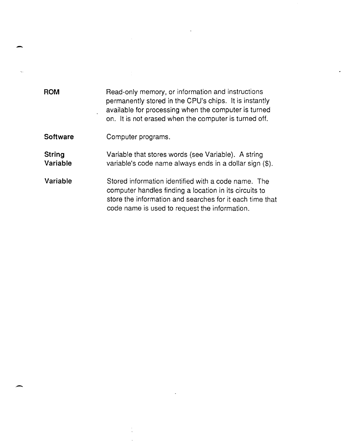| <b>ROM</b>         | Read-only memory, or information and instructions<br>permanently stored in the CPU's chips. It is instantly<br>available for processing when the computer is turned<br>on. It is not erased when the computer is turned off. |  |
|--------------------|------------------------------------------------------------------------------------------------------------------------------------------------------------------------------------------------------------------------------|--|
| <b>Software</b>    | Computer programs.                                                                                                                                                                                                           |  |
| String<br>Variable | Variable that stores words (see Variable). A string<br>variable's code name always ends in a dollar sign (\$).                                                                                                               |  |
| Variable           | Stored information identified with a code name. The<br>computer handles finding a location in its circuits to<br>store the information and searches for it each time that<br>code name is used to request the information.   |  |

 $\label{eq:2.1} \frac{1}{\sqrt{2}}\int_{0}^{\infty}\frac{1}{\sqrt{2\pi}}\left(\frac{1}{\sqrt{2\pi}}\right)^{2\alpha} \frac{1}{\sqrt{2\pi}}\int_{0}^{\infty}\frac{1}{\sqrt{2\pi}}\left(\frac{1}{\sqrt{2\pi}}\right)^{\alpha} \frac{1}{\sqrt{2\pi}}\int_{0}^{\infty}\frac{1}{\sqrt{2\pi}}\frac{1}{\sqrt{2\pi}}\frac{1}{\sqrt{2\pi}}\frac{1}{\sqrt{2\pi}}\frac{1}{\sqrt{2\pi}}\frac{1}{\sqrt{2\pi}}\frac{1}{\sqrt{2\pi}}$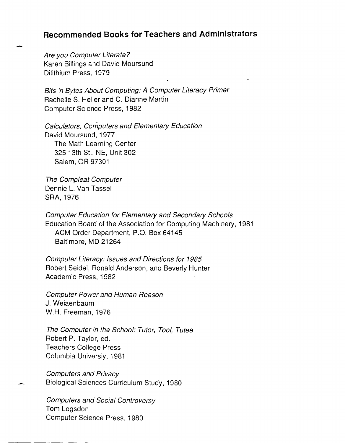#### **Recommended Books for Teachers and Administrators**

Are you Computer Literate? Karen Billings and David Moursund Dilithium Press, 1979

Bits 'n Bytes About Computing: A Computer Literacy Primer Rachelle S. Heller and C. Dianne Martin Computer Science Press, 1982

Calculators, Computers and Elementary Education David Moursund, 1977 The Math Learning Center 325 13th St., NE, Unit 302 Salem, OR 97301

The Compleat Computer Dennie L. Van Tassel SRA, 1976

Computer Education for Elementary and Secondary Schools Education Board of the Association for Computing Machinery, 1981 ACM Order Department, P.O. Box 64145 Baltimore, MD 21264

Computer Literacy: Issues and Directions for 1985 Robert Seidel, Ronald Anderson, and Beverly Hunter Academic Press, 1982

Computer Power and Human Reason J. Weiaenbaum W.H. Freeman, 1976

The Computer in the School: Tutor, Tool, Tutee Robert P. Taylor, ed. Teachers College Press Columbia Universiy, 1981

Computers and Privacy Biological Sciences Curriculum Study, 1980

Computers and Social Controversy Tom Logsdon Computer Science Press, 1980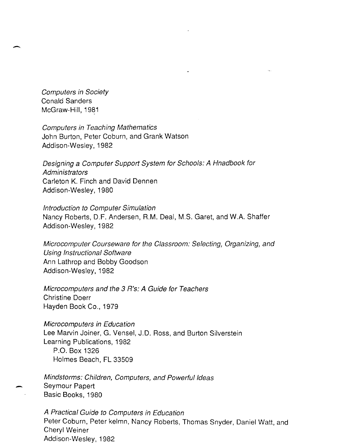Computers in Society Conald Sanders McGraw-Hili, 1981

 $\overline{\phantom{0}}$ 

Computers in Teaching Mathematics John Burton, Peter Coburn, and Grank Watson Addison-Wesley, 1982

Designing a Computer Support System for Schools: A Hnadbook for **Administrators** Carleton K. Finch and David Dennen Addison-Wesley, 1980

Introduction to Computer Simulation Nancy Roberts, D.F. Andersen, R.M. Deal, M.S. Garet, and W.A. Shaffer Addison-Wesley, 1982

Microcomputer Courseware for the Classroom: Selecting, Organizing, and Using Instructional Software Ann Lathrop and Bobby Goodson Addison-Wesley, 1982

Microcomputers and the 3 R's: A Guide for Teachers Christine Doerr Hayden Book Co., 1979

Microcomputers in Education Lee Marvin Joiner, G. Vensel, J.D. Ross, and Burton Silverstein Learning Publications, 1982 P.O. Box 1326

Holmes Beach, FL 33509

Mindstorms: Children, Computers, and Powerful Ideas Seymour Papert Basic Books, 1980

A Practical Guide to Computers in Education Peter Coburn, Peter kelmn, Nancy Roberts, Thomas Snyder, Daniel Watt, and Cheryl Weiner Addison-Wesley, 1982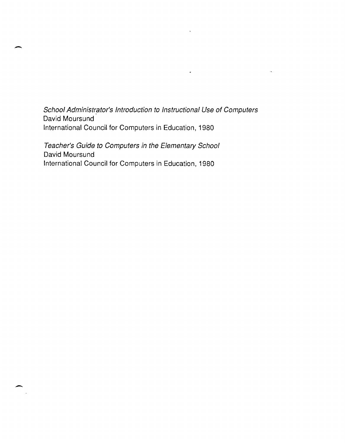School Administrator's Introduction to Instructional Use of Computers David Moursund International Council for Computers in Education, 1980

 $\ddot{\phantom{a}}$ 

 $\ddot{\phantom{a}}$ 

Teacher's Guide to Computers in the Elementary School David Moursund International Council for Computers in Education, 1980

 $\overline{\phantom{0}}$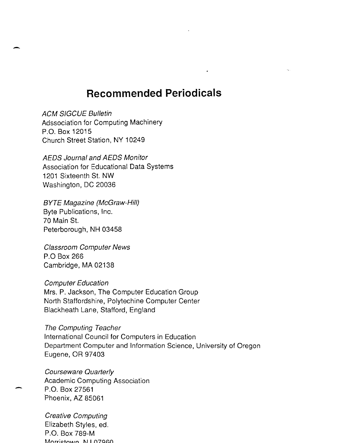### **Recommended Periodicals**

**ACM SIGCUE Bulletin** Adssociation for Computing Machinery P.O. Box 12015 Church Street Station, NY 10249

-

AEDS Journal and AEDS Monitor Association for Educational Data Systems 1201 Sixteenth St. NW Washington, DC 20036

BYTE Magazine (McGraw-Hili) Byte Publications, Inc. 70 Main St. Peterborough, NH 03458

Classroom Computer News P.O Box 266 Cambridge, MA 02138

Computer Education Mrs. P. Jackson, The Computer Education Group North Staffordshire, Polytechine Computer Center Blackheath Lane, Stafford, England

The Computing Teacher International Council for Computers in Education Department Computer and Information Science, University of Oregon Eugene, OR 97403

Courseware Quarterly Academic Computing Association P.O. Box 27561 Phoenix, AZ 85061

Creative Computing Elizabeth Styles, ed. P.O. Box 789-M Morrictown NII 07060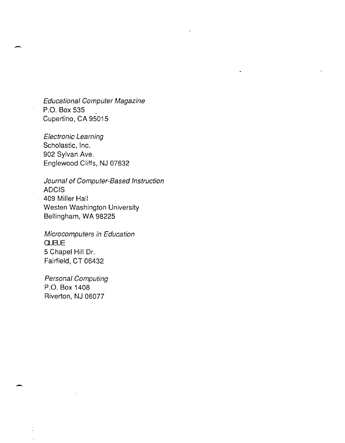Educational Computer Magazine P.O. Box 535<br>Cupertino, CA 95015

-

-

Electronic Learning Scholastic, Inc. 902 Sylvan Ave. Englewood Cliffs, NJ 07632

Journal of Computer-Based Instruction ADCIS 409 Miller Hall Westen Washington University Bellingham, WA 98225

Microcomputers in Education **QUEUE** 5 Chapel Hill Dr. Fairfield, CT 06432

Personal Computing P.O. Box 1408 Riverton, NJ 08077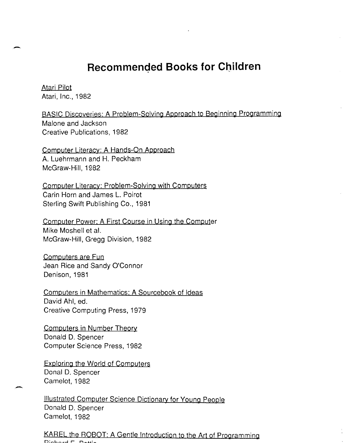## **Recommended Books for Children**

Atari Pilot Atari, Inc., 1982

-

BASIC Discoveries: A Problem-Solving Approach to Beginning Programming Malone and Jackson Creative Publications, 1982

Computer Literacy: A Hands-On Approach A. Luehrmann and H. Peckham McGraw-Hili, 1982

Computer Literacy: Problem-Solving with Computers Carin Horn and James L. Poirot Sterling Swift Publishing Co., 1981

Computer Power: A First Course in Using the Computer Mike Moshell et al. McGraw-Hili, Gregg Division, 1982

Computers are Fun Jean Rice and Sandy O'Connor Denison, 1981

Computers in Mathematics: A Sourcebook of Ideas David Ahl, ed. Creative Computing Press, 1979

Computers in Number Theory Donald D. Spencer Computer Science Press, 1982

Exploring the World of Computers Donal D. Spencer Camelot, 1982

Illustrated Computer Science Dictionary for Young People Donald D. Spencer Camelot, 1982

KAREL the ROBOT: A Gentle Introduction to the Art of Programming<br>Pichord E. Bettis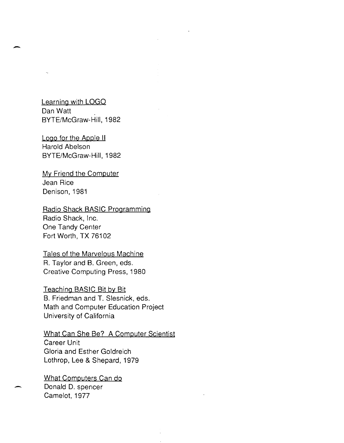#### Learning with LOGO Dan Watt BYTE/McGraw-Hili, 1982

-

Logo for the Apple II Harold Abelson BYTE/McGraw-Hili, 1982

My Friend the Computer Jean Rice Denison, 1981

Radio Shack BASIC Programming Radio Shack, Inc. One Tandy Center Fort Worth, TX 76102

Tales of the Marvelous Machine R. Taylor and B. Green, eds. Creative Computing Press, 1980

Teaching BASIC Bit by Bit B. Friedman and T. Siesnick, eds. Math and Computer Education Project University of California

What Can She Be? A Computer Scientist Career Unit Gloria and Esther Goldreich Lothrop, Lee & Shepard, 1979

What Computers Can do Donald D. spencer Camelot, 1977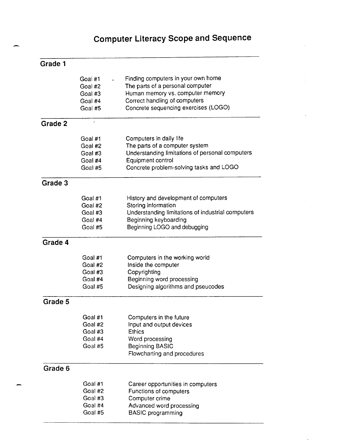## **Computer Literacy Scope and Sequence**

| Grade |  |
|-------|--|
|-------|--|

|         | Goal #1  | Finding computers in your own home                |
|---------|----------|---------------------------------------------------|
|         | Goal #2  | The parts of a personal computer                  |
|         | Goal #3  | Human memory vs. computer memory                  |
|         | Goal #4  | Correct handling of computers                     |
|         |          |                                                   |
|         | Goal #5  | Concrete sequencing exercises (LOGO)              |
| Grade 2 |          |                                                   |
|         | Goal #1  | Computers in daily life                           |
|         | Goal #2  | The parts of a computer system                    |
|         | Goal #3  | Understanding limitations of personal computers   |
|         | Goal #4  | Equipment control                                 |
|         | Goal #5  | Concrete problem-solving tasks and LOGO           |
| Grade 3 |          |                                                   |
|         | Goal #1  | History and development of computers              |
|         | Goal #2  | Storing information                               |
|         | Goal #3  | Understanding limitations of industrial computers |
|         | Goal #4  | Beginning keyboarding                             |
|         | Goal #5  | Beginning LOGO and debugging                      |
| Grade 4 |          |                                                   |
|         | Goal #1  | Computers in the working world                    |
|         | Goal #2  | Inside the computer                               |
|         | Goal #3  | Copyrighting                                      |
|         | Goal #4  | Beginning word processing                         |
|         | Goal #5  | Designing algorithms and pseucodes                |
| Grade 5 |          |                                                   |
|         | Goal #1  | Computers in the future                           |
|         | Goal #2  | Input and output devices                          |
|         | Goal #3  | <b>Ethics</b>                                     |
|         | Goal #4  | Word processing                                   |
|         | Goal #5  | <b>Beginning BASIC</b>                            |
|         |          | Flowcharting and procedures                       |
| Grade 6 |          |                                                   |
|         | Goal #1  | Career opportunities in computers                 |
|         | Goal #2  | Functions of computers                            |
|         | Goal #3  | Computer crime                                    |
|         | Goal #4  | Advanced word processing                          |
|         | Goal #5. | <b>BASIC</b> programming                          |

Goal #5 BASIC programming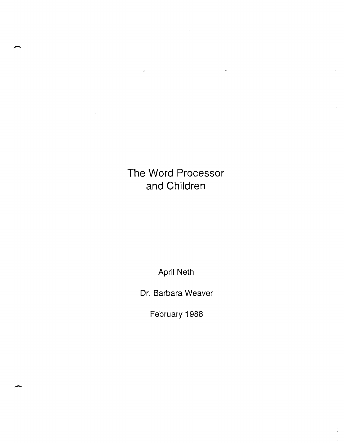# **The Word Processor and Children**

š,

-

-

April Neth

Dr. Barbara Weaver

February 1988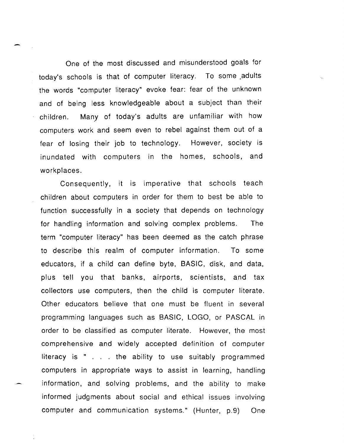One of the most discussed and misunderstood goals for today's schools is that of computer literacy. To some adults the words "computer literacy" evoke fear: fear of the unknown and of being less knowledgeable about a subject than their children. Many of today's adults are unfamiliar with how computers work and seem even to rebel against them out of a fear of losing their job to technology. However, society is inundated with computers in the homes, schools, and workplaces.

Consequently, it is imperative that schools teach children about computers in order for them to best be able to function successfully in a society that depends on technology for handling information and solving complex problems. The term "computer literacy" has been deemed as the catch phrase to describe this realm of computer information. To some educators, if a child can define byte, BASIC, disk, and data, plus tell you that banks, airports, scientists, and tax collectors use computers, then the child is computer literate. Other educators believe that one must be fluent in several programming languages such as BASIC, LOGO, or PASCAL in order to be classified as computer literate. However, the most comprehensive and widely accepted definition of computer literacy is  $"$ ... the ability to use suitably programmed computers in appropriate ways to assist in learning, handling information, and solving problems, and the ability to make informed judgments about social and ethical issues involving computer and communication systems." (Hunter, p.9) One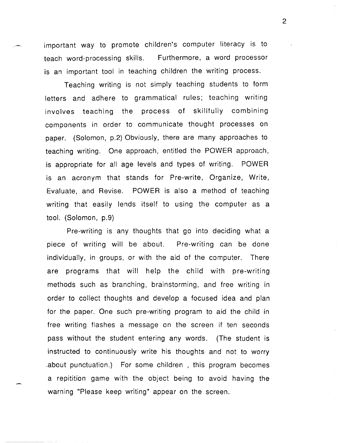important way to promote children's computer literacy is to teach word-processing skills. Furthermore, a word processor is an important tool in teaching children the writing process.

Teaching writing is not simply teaching students to form letters and adhere to grammatical rules; teaching writing involves teaching the process of skillfully combining components in order to communicate thought processes on paper. (Solomon, p.2) Obviously, there are many approaches to teaching writing. One approach, entitled the POWER approach, is appropriate for all age levels and types of writing. POWER is an acronym that stands for Pre-write, Organize, Write, Evaluate, and Revise. POWER is also a method of teaching writing that easily lends itself to using the computer as a tool. (Solomon, p.9)

Pre-writing is any thoughts that go into deciding what a piece of writing will be about. Pre-writing can be done individually, in groups, or with the aid of the computer. There are prograrns that will help the child with pre-writing methods such as branching, brainstorming, and free writing in order to collect thoughts and develop a focused idea and plan for the paper. One such pre-writing program to aid the child in free writing flashes a message on the screen if ten seconds pass without the student entering any words. (The student is instructed to continuously write his thoughts and not to worry .about punctuation.) For some children , this program becomes a repitition game with the object being to avoid having the warning "Please keep writing" appear on the screen.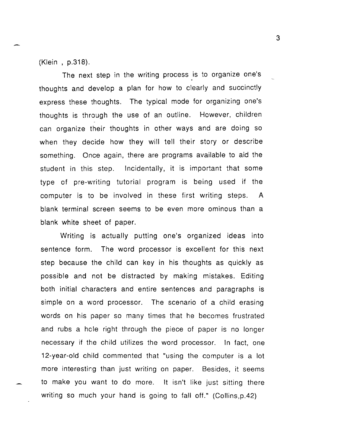(Klein , p.318).

The next step in the writing process is to organize one's thoughts and develop a plan for how to clearly and succinctly express these thoughts. The typical mode for organizing one's thoughts is through the use of an outline. However, children can organize their thoughts in other ways and are doing so when they decide how they will tell their story or describe something. Once again, there are programs available to aid the student in this step. Incidentally, it is important that some type of pre-writing tutorial program is being used if the computer is to be involved in these first writing steps. A blank terminal screen seems to be even more ominous than a blank white sheet of paper.

Writing is actually putting one's organized ideas into sentence form. The word processor is excellent for this next step because the child can key in his thoughts as quickly as possible and not be distracted by making mistakes. Editing both initial characters and entire sentences and paragraphs is simple on a word processor. The scenario of a child erasing words on his paper so many times that he becomes frustrated and rubs a hole right through the piece of paper is no longer necessary if the child utilizes the word processor. In fact, one 12-year-old child commented that "using the computer is a lot more interesting than just writing on paper. Besides, it seems to make you want to do more. It isn't like just sitting there writing so much your hand is going to fall off." (Collins,p.42)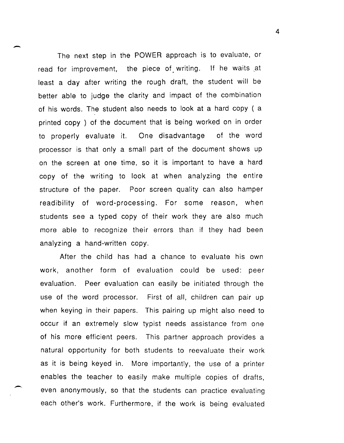The next step in the POWER approach is to evaluate, or read for improvement, the piece of writing. If he waits at least a day after writing the rough draft, the student will be better able to judge the clarity and impact of the combination of his words. The student also needs to look at a hard copy ( a printed copy ) of the document that is being worked on in order to properly evaluate it. One disadvantage of the word processor is that only a small part of the document shows up on the screen at one time, so it is important to have a hard copy of the writing to look at when analyzing the entire structure of the paper. Poor screen quality can also hamper readibility of word-processing. For some reason, when students see a typed copy of their work they are also much more able to recognize their errors than if they had been analyzing a hand-written copy.

-

 $\overline{\phantom{0}}$ 

After the child has had a chance to evaluate his own work, another form of evaluation could be used: peer evaluation. Peer evaluation can easily be initiated through the use of the word processor. First of all, children can pair up when keying in their papers. This pairing up might also need to occur if an extremely slow typist needs assistance from one of his more efficient peers. This partner approach provides a natural opportunity for both students to reevaluate their work as it is being keyed in. More importantly, the use of a printer enables the teacher to easily make multiple copies of drafts, even anonymously, so that the students can practice evaluating each other's work. Furthermore, if the work is being evaluated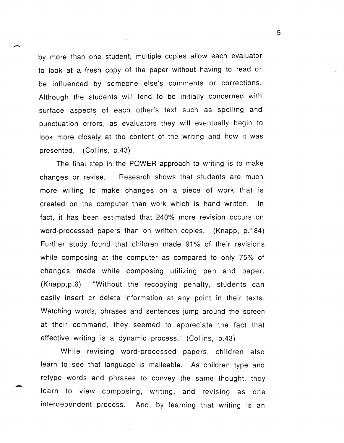by more than one student, multiple copies allow each evaluator to look at a fresh copy of the paper without having to read or be influenced by someone else's comments or corrections. Although the students will tend to be initially concerned with surface aspects of each other's text such as spelling and punctuation errors, as evaluators they will eventually begin to look more closely at the content of the writing and how it was presented. (Collins, p.43)

-

-

The final step in the POWER approach to writing is to make changes or revise. Research shows that students are much more willing to make changes on a piece of work that is created on the computer than work which is hand written. In fact, it has been estimated that 240% more revision occurs on word-processed papers than on written copies. (Knapp, p.184) Further study found that children made 91% of their revisions while composing at the computer as compared to only 75% of changes made while composing utilizing pen and paper. (Knapp,p.6) "Without the recopying penalty, students can easily insert or delete information at any point in their texts. Watching words, phrases and sentences jump around the screen at their command, they seemed to appreciate the fact that effective writing is a dynamic process." (Collins, p.43)

While revising word-processed papers, children also learn to see that language is malleable. As children type and retype words and phrases to convey the same thought, they learn to view composing, writing, and revising as one interdependent process. And, by learning that writing is an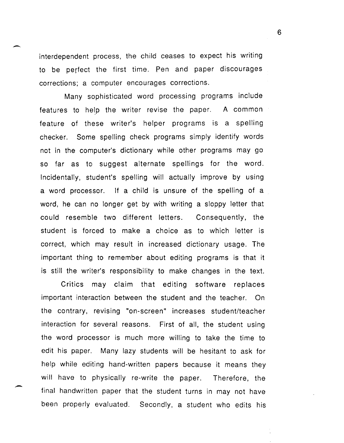interdependent process, the child ceases to expect his writing to be perfect the first time. Pen and paper discourages corrections; a computer encourages corrections.

Many sophisticated word processing programs include features to help the writer revise the paper. A common feature of these writer's helper programs is a spelling checker. Some spelling check programs simply identify words not in the computer's dictionary while other programs may go so far as to suggest alternate spellings for the word. Incidentally, student's spelling will actually improve by using a word processor. If a child is unsure of the spelling of a word, he can no longer get by with writing a sloppy letter that could resemble two different letters. Consequently, the student is forced to make a choice as to which letter is correct, which may result in increased dictionary usage. The important thing to remember about editing programs is that it is still the writer's responsibility to make changes in the text.

Critics may claim that editing software replaces important interaction between the student and the teacher. On the contrary, revising "on-screen" increases student/teacher interaction for several reasons. First of all, the student using the word processor is much more willing to take the time to edit his paper. Many lazy students will be hesitant to ask for help while editing hand-written papers because it means they will have to physically re-write the paper. Therefore, the final handwritten paper that the student turns in may not have been properly evaluated. Secondly, a student who edits his

-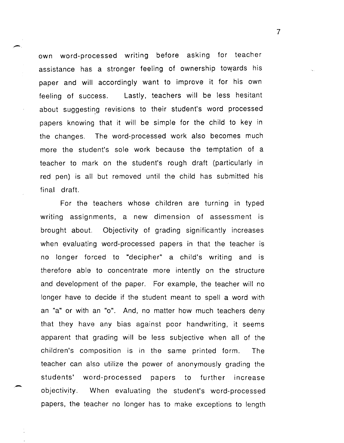own word-processed writing before asking for teacher assistance has a stronger feeling of ownership towards his paper and will accordingly want to improve it for his own feeling of success. Lastly, teachers will be less hesitant about suggesting revisions to their student's word processed papers knowing that it will be simple for the child to key in the changes. The word-processed work also becomes much more the student's sole work because the temptation of a teacher to mark on the student's rough draft (particularly in red pen) is all but removed until the child has submitted his final draft.

For the teachers whose children are turning in typed writing assignments, a new dimension of assessment is brought about Objectivity of grading significantly increases when evaluating word-processed papers in that the teacher is no longer forced to "decipher" a child's writing and is therefore able to concentrate more intently on the structure and development of the paper. For example, the teacher will no longer have to decide if the student meant to spell a word with an "a" or with an "0". And, no matter how much teachers deny that they have any bias against poor handwriting, it seems apparent that grading will be less subjective when all of the children's composition is in the same printed form. The teacher can also utilize the power of anonymously grading the students' word-processed papers to further increase objectivity. When evaluating the student's word-processed papers, the teacher no longer has to make exceptions to length

-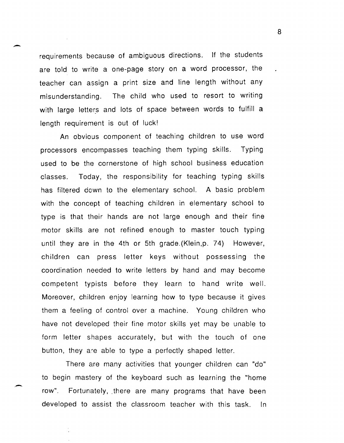requirements because of ambiguous directions. If the students are told to write a one-page story on a word processor, the teacher can assign a print size and line length without any misunderstanding. The child who used to resort to writing with large letters and lots of space between words to fulfill a length requirement is out of luck!

-

-

An obvious component of teaching children to use word processors encompasses teaching them typing skills. Typing used to be the cornerstone of high school business education classes. Today, the responsibility for teaching typing skills has filtered down to the elementary school. A basic problem with the concept of teaching children in elementary school to type is that their hands are not large enough and their fine motor skills are not refined enough to master touch typing until they are in the 4th or 5th grade.(Klein,p. 74) However, children can press letter keys without possessing the coordination needed to write letters by hand and may become competent typists before they learn to hand write well. Moreover, children enjoy learning how to type because it gives them a feeling of control over a machine. Young children who have not developed their fine motor skills yet may be unable to form letter shapes accurately, but with the touch of one button, they a;e able to type a perfectly shaped letter.

There are many activities that younger children can "do" to begin mastery of the keyboard such as learning the "home row". Fortunately, there are many programs that have been developed to assist the classroom teacher with this task. In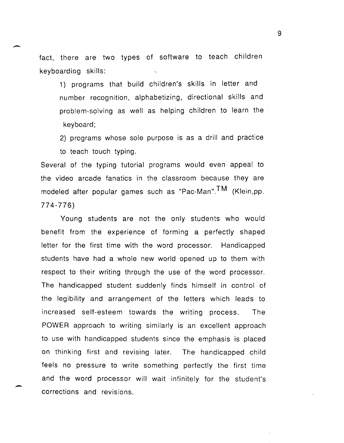fact, there are two types of software to teach children keyboarding skills:

1) programs that build children's skills in letter and number recognition, alphabetizing, directional skills and problem-solving as well as helping children to learn the keyboard;

2) programs whose sole purpose is as a drill and practice to teach touch typing.

Several of the typing tutorial programs would even appeal to the video arcade fanatics in the classroom because they are modeled after popular games such as "Pac-Man".TM (Klein,pp. 774-776)

Young students are not the only students who would benefit from the experience of forming a perfectly shaped letter for the first time with the word processor. Handicapped students have had a whole new world opened up to them with respect to their writing through the use of the word processor. The handicapped student suddenly finds himself in control of the legibility and arrangement of the letters which leads to increased self-esteem towards the writing process. The POWER approach to writing similarly is an excellent approach to use with handicapped students since the emphasis is placed on thinking first and revising later. The handicapped child feels no pressure to write something perfectly the first time and the word processor will wait infinitely for the student's corrections and revisions.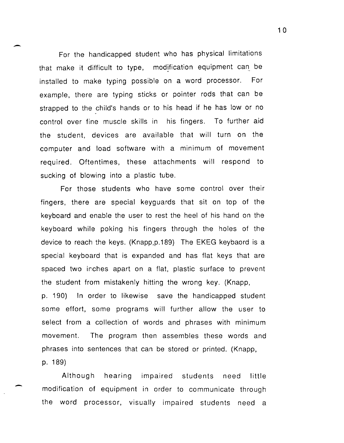For the handicapped student who has physical limitations that make it difficult to type, modification equipment can. be installed to make typing possible on a word processor. For example, there are typing sticks or pointer rods that can be strapped to the child's hands or to his head if he has low or no control over fine muscle skills in his fingers. To further aid the student, devices are available that will turn on the computer and load software with a minimum of movement required. Oftentimes, these attachments will respond to sucking of blowing into a plastic tube.

-

-

For those students who have some control over their fingers, there are special keyguards that sit on top of the keyboard and enable the user to rest the heel of his hand on the keyboard while poking his fingers through the holes of the device to reach the keys. (Knapp,p.189) The EKEG keybaord is a special keyboard that is expanded and has flat keys that are spaced two inches apart on a flat, plastic surface to prevent the student from mistakenly hitting the wrong key. (Knapp, p. 190) In order to likewise save the handicapped student some effort, some programs will further allow the user to select from a collection of words and phrases with minimum movement. The program then assembles these words and phrases into sentences that can be stored or printed. (Knapp, p. 189)

Although hearing impaired students need little modification of equipment in order to communicate through the word processor, visually impaired students need a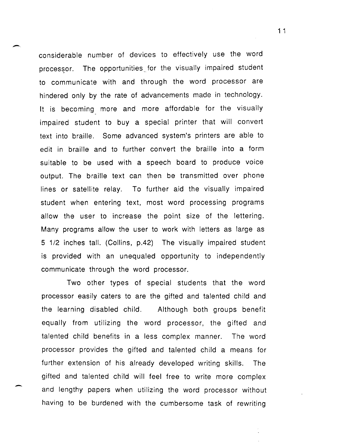considerable number of devices to effectively use the word processor. The opportunities for the visually impaired student to communicate with and through the word processor are hindered only by the rate of advancements made in technology. It is becoming more and more affordable for the visually impaired student to buy a special printer that will convert text into braille. Some advanced system's printers are able to edit in braille and to further convert the braille into a form suitable to be used with a speech board to produce voice output. The braille text can then be transmitted over phone lines or satellite relay. To further aid the visually impaired student when entering text, most word processing programs allow the user to increase the point size of the lettering. Many programs allow the user to work with letters as large as 5 112 inches tall. (Collins, p.42) The visually impaired student is provided with an unequaled opportunity to independently communicate through the word processor.

Two other types of special students that the word processor easily caters to are the gifted and talented child and the learning disabled child. Although both groups benefit equally from utilizing the word processor, the gifted and talented child benefits in a less complex manner. The word processor provides the gifted and talented child a means for further extension of his already developed writing skills. The gifted and talented child will feel free to write more complex and lengthy papers when utilizing the word processor without having to be burdened with the cumbersome task of rewriting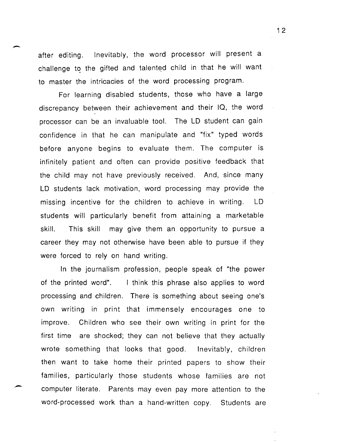after editing. Inevitably, the word processor will present a challenge to the gifted and talented child in that he will want to master the intricacies of the word processing program.

For learning disabled students, those who have a large discrepancy between their achievement and their IQ, the word processor can be an invaluable tool. The LD student can gain confidence in that he can manipulate and "fix" typed words before anyone begins to evaluate them. The computer is infinitely patient and often can provide positive feedback that the child may not have previously received. And, since many LD students lack motivation, word processing may provide the missing incentive for the children to achieve in writing. LD students will particularly benefit from attaining a marketable skill. This skill may give them an opportunity to pursue a career they may not otherwise have been able to pursue if they were forced to rely on hand writing.

In the journalism profession, people speak of "the power of the printed word". I think this phrase also applies to word processing and children. There is something about seeing one's own writing in print that immensely encourages one to improve. first time are shocked; they can not believe that they actually Children who see their own writing in print for the wrote something that looks that good. Inevitably, children then want to take home their printed papers to show their families, particularly those students whose families are not computer literate. Parents may even pay more attention to the word-processed work than a hand-written copy. Students are

--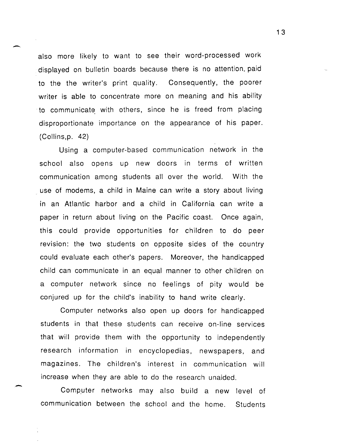also more likely to want to see their word-processed work displayed on bulletin boards because there is no attention. paid to the the writer's print quality. Consequently, the poorer writer is able to concentrate more on meaning and his ability . to communicate with others, since he is freed from placing disproportionate importance on the appearance of his paper. (Collins,p. 42)

-

-

Using a computer-based communication network in the school also opens up new doors in terms of written communication among students all over the world. With the use of modems, a child in Maine can write a story about living in an Atlantic harbor and a child in California can write a paper in return about living on the Pacific coast. Once again, this could provide opportunities for children to do peer revision: the two students on opposite sides of the country could evaluate each other's papers. Moreover, the handicapped child can communicate in an equal manner to other children on a computer network since no feelings of pity would be conjured up for the child's inability to hand write clearly.

Computer networks also open up doors for handicapped students in that these students can receive on-line services that will provide them with the opportunity to independently research information in encyclopedias, newspapers, and magazines. The children's interest in communication will increase when they are able to do the research unaided.

Computer networks may also build a new level of communication between the school and the home. Students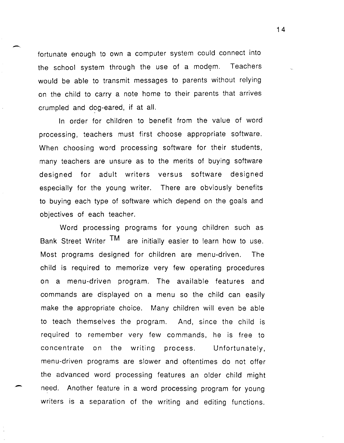fortunate enough to own a computer system could connect into the school system through the use of a modem. Teachers would be able to transmit messages to parents without relying on the child to carry a note home to their parents that arrives crumpled and dog-eared, if at all.

In order for children to benefit from the value of word processing, teachers must first choose appropriate software. When choosing word processing software for their students, many teachers are unsure as to the merits of buying software designed for adult writers versus software designed especially for the young writer. There are obviously benefits to buying each type of software which depend on the goals and objectives of each teacher.

Word processing programs for young children such as Bank Street Writer  $TM$  are initially easier to learn how to use. Most programs designed for children are menu-driven. The child is required to memorize very few operating procedures on a menu-driven program. The available features and commands are displayed on a menu so the child can easily make the appropriate choice. Many children will even be able to teach themselves the program. And, since the child is required to remember very few commands, he is free to concentrate on the writing process. Unfortunately, menu-driven programs are slower and oftentimes do not offer the advanced word processing features an older child might need. Another feature in a word processing program for young writers is a separation of the writing and editing functions.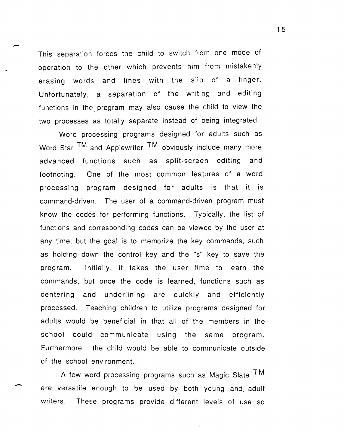This separation forces the child to switch from one mode of operation to .the other which prevents him from mistakenly erasing words and lines with the slip of a finger. Unfortunately, a separation of the writing and editing functions in the program may also cause the child to view the two processes as totally separate instead of being integrated.

-

-

Word processing programs designed for adults such as Word Star TM and Applewriter TM obviously include many more advanced functions such as split-screen editing and footnoting. One of the most common features of a word processing p;ogram designed for adults is that it is command-driven. The user of a command-driven program must know the codes for performing functions. Typically, the list of functions and corresponding codes can be viewed by the user at any time, but the goal is to memorize the key commands, such as holding down the control key and the "s" key to save the program. Initially, it takes the user time to learn the commands, but once the code is learned, functions such as centering and underlining are quickly and efficiently processed. Teaching children to utilize programs designed for adults would be beneficial in that all of the members in the school could communicate using the same program. Furthermore, the child would be able to communicate outside of the school environment.

A few word processing programs such as Magic Slate  $TM$ are versatile enough to be used by both young and. adult writers. These programs provide different levels of use so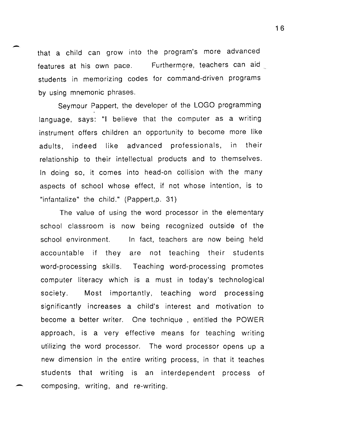that a child can grow into the program's more advanced features at his own pace. Furthermore, teachers can aid students in memorizing codes for command-driven programs by using mnemonic phrases.

-

-

Seymour Pappert, the developer of the LOGO programming language, says: "I believe that the computer as a writing instrument offers children an opportunity to become more like adults, indeed like advanced professionals, in their relationship to their intellectual products and to themselves. In doing so, it comes into head-on collision with the many aspects of school whose effect, if not whose intention, is to "infantalize" the child." (Pappert,p. 31)

The value of using the word processor in the elementary school classroom is now being recognized outside of the school environment. In fact, teachers are now being held accountable if they are not teaching their students word-processing skills. Teaching word-processing promotes computer literacy which is a must in today's technological society. Most importantly, teaching word processing significantly increases a child's interest and motivation to become a better writer. One technique , entitled the POWER approach, is a very effective means for teaching writing utilizing the word processor. The word processor opens up a new dimension in the entire writing process, in that it teaches students that writing is an interdependent process of composing, writing, and re-writing.